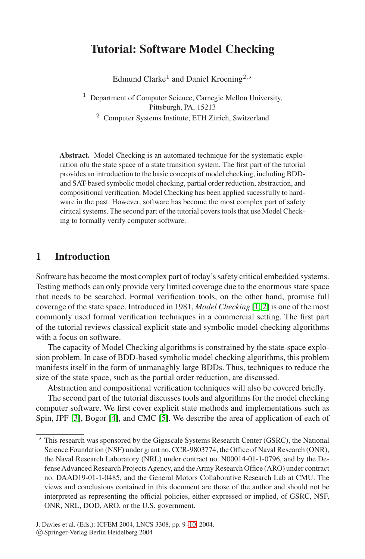## **Tutorial: Software Model Checking**

Edmund Clarke<sup>1</sup> and Daniel Kroening<sup>2,\*</sup>

 $1$  Department of Computer Science, Carnegie Mellon University, Pittsburgh, PA, 15213

 $2$  Computer Systems Institute, ETH Zürich, Switzerland

**Abstract.** Model Checking is an automated technique for the systematic exploration ofu the state space of a state transition system. The first part of the tutorial provides an introduction to the basic concepts of model checking, including BDDand SAT-based symbolic model checking, partial order reduction, abstraction, and compositional verification. Model Checking has been applied sucessfully to hardware in the past. However, software has become the most complex part of safety ciritcal systems. The second part of the tutorial covers tools that use Model Checking to formally verify computer software.

## **1 Introduction**

Software has become the most complex part of today's safety critical embedded systems. Testing methods can only provide very limited coverage due to the enormous state space that needs to be searched. Formal verification tools, on the other hand, promise full coverage of the state space. Introduced in 1981, *Model Checking* [\[1, 2\]](#page-1-0) is one of the most commonly used formal verification techniques in a commercial setting. The first part of the tutorial reviews classical explicit state and symbolic model checking algorithms with a focus on software.

The capacity of Model Checking algorithms is constrained by the state-space explosion problem. In case of BDD-based symbolic model checking algorithms, this problem manifests itself in the form of unmanagbly large BDDs. Thus, techniques to reduce the size of the state space, such as the partial order reduction, are discussed.

Abstraction and compositional verification techniques will also be covered briefly.

The second part of the tutorial discusses tools and algorithms for the model checking computer software. We first cover explicit state methods and implementations such as Spin, JPF [\[3\]](#page-1-0), Bogor [\[4\]](#page-1-0), and CMC [\[5\]](#page-1-0). We describe the area of application of each of

 $*$  This research was sponsored by the Gigascale Systems Research Center (GSRC), the National Science Foundation (NSF) under grant no. CCR-9803774, the Office of Naval Research (ONR), the Naval Research Laboratory (NRL) under contract no. N00014-01-1-0796, and by the DefenseAdvanced Research ProjectsAgency, and theArmy Research Office (ARO) under contract no. DAAD19-01-1-0485, and the General Motors Collaborative Research Lab at CMU. The views and conclusions contained in this document are those of the author and should not be interpreted as representing the official policies, either expressed or implied, of GSRC, NSF, ONR, NRL, DOD, ARO, or the U.S. government.

J. Davies et al. (Eds.): ICFEM 2004, LNCS 3308, pp. 9[–10,](#page-1-0) 2004.

c Springer-Verlag Berlin Heidelberg 2004